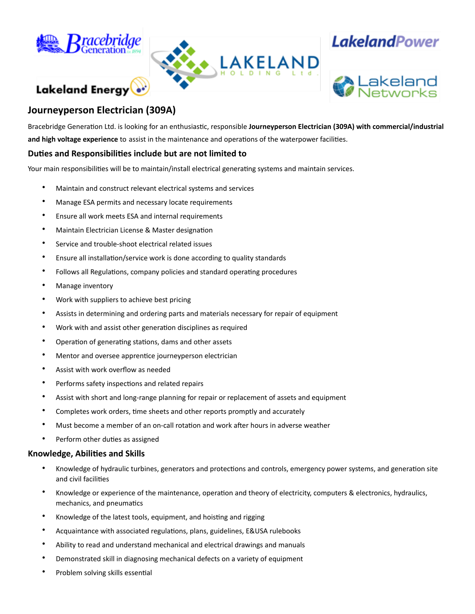

Lakeland Energy



## **LakelandPower**



### **Journeyperson Electrician (309A)**

Bracebridge Generation Ltd. is looking for an enthusiastic, responsible **Journeyperson Electrician (309A) with commercial/industrial and high voltage experience** to assist in the maintenance and operations of the waterpower facilities.

#### **Duties and Responsibilities include but are not limited to**

Your main responsibilities will be to maintain/install electrical generating systems and maintain services.

- Maintain and construct relevant electrical systems and services
- Manage ESA permits and necessary locate requirements
- Ensure all work meets ESA and internal requirements
- Maintain Electrician License & Master designation
- Service and trouble-shoot electrical related issues
- Ensure all installation/service work is done according to quality standards
- Follows all Regulations, company policies and standard operating procedures
- Manage inventory
- Work with suppliers to achieve best pricing
- Assists in determining and ordering parts and materials necessary for repair of equipment
- Work with and assist other generation disciplines as required
- Operation of generating stations, dams and other assets
- Mentor and oversee apprentice journeyperson electrician
- Assist with work overflow as needed
- Performs safety inspections and related repairs
- Assist with short and long-range planning for repair or replacement of assets and equipment
- Completes work orders, time sheets and other reports promptly and accurately
- Must become a member of an on-call rotation and work after hours in adverse weather
- Perform other duties as assigned

#### **Knowledge, Abilities and Skills**

- Knowledge of hydraulic turbines, generators and protections and controls, emergency power systems, and generation site and civil facilities
- Knowledge or experience of the maintenance, operation and theory of electricity, computers & electronics, hydraulics, mechanics, and pneumatics
- Knowledge of the latest tools, equipment, and hoisting and rigging
- Acquaintance with associated regulations, plans, guidelines, E&USA rulebooks
- Ability to read and understand mechanical and electrical drawings and manuals
- Demonstrated skill in diagnosing mechanical defects on a variety of equipment
- Problem solving skills essential